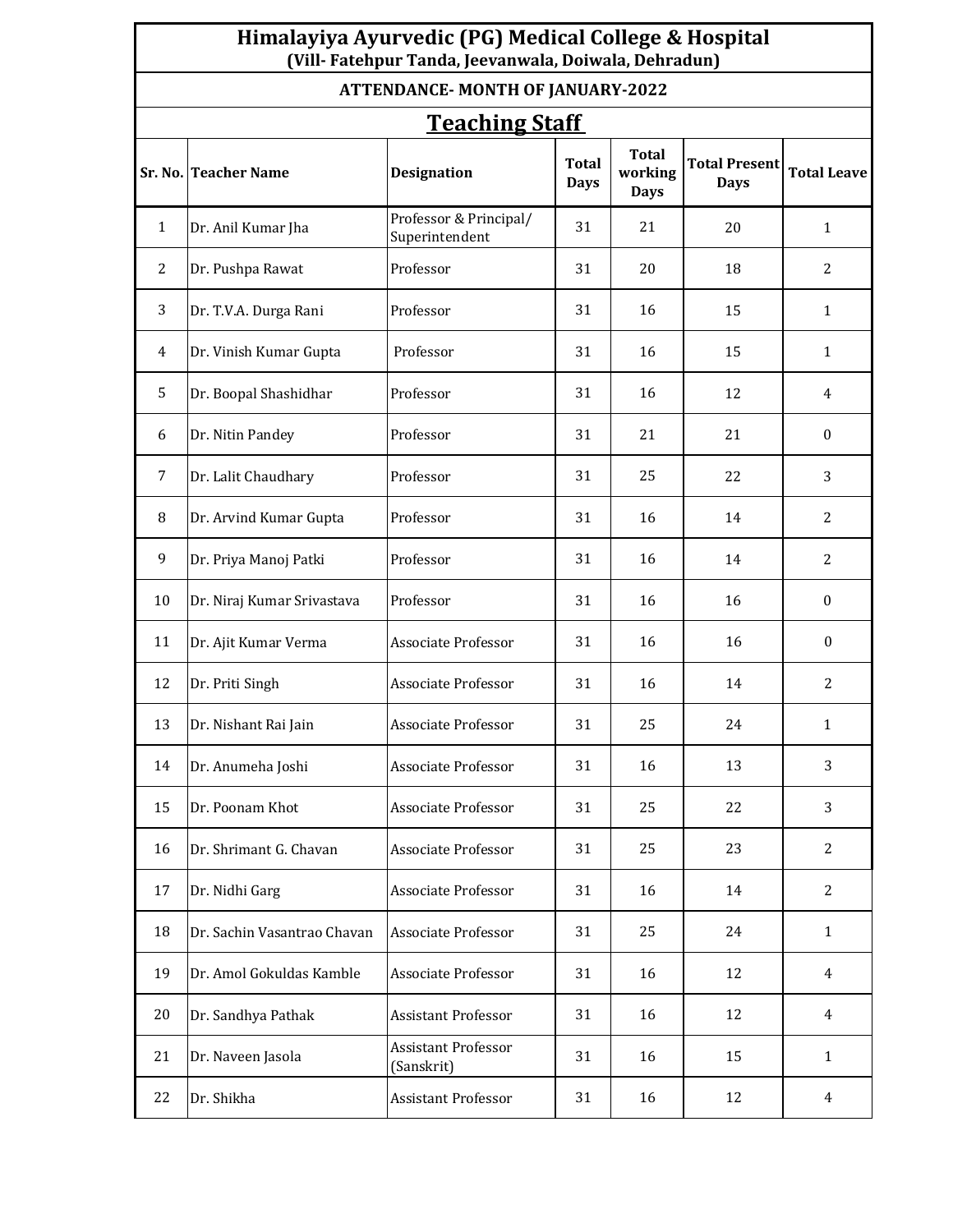| Himalayiya Ayurvedic (PG) Medical College & Hospital<br>(Vill-Fatehpur Tanda, Jeevanwala, Doiwala, Dehradun) |                             |                                          |                             |                                        |                                     |                    |  |  |  |  |  |
|--------------------------------------------------------------------------------------------------------------|-----------------------------|------------------------------------------|-----------------------------|----------------------------------------|-------------------------------------|--------------------|--|--|--|--|--|
| <b>ATTENDANCE-MONTH OF JANUARY-2022</b>                                                                      |                             |                                          |                             |                                        |                                     |                    |  |  |  |  |  |
| <b>Teaching Staff</b>                                                                                        |                             |                                          |                             |                                        |                                     |                    |  |  |  |  |  |
|                                                                                                              | Sr. No. Teacher Name        | <b>Designation</b>                       | <b>Total</b><br><b>Days</b> | <b>Total</b><br>working<br><b>Days</b> | <b>Total Present</b><br><b>Days</b> | <b>Total Leave</b> |  |  |  |  |  |
| 1                                                                                                            | Dr. Anil Kumar Jha          | Professor & Principal/<br>Superintendent | 31                          | 21                                     | 20                                  | $\mathbf{1}$       |  |  |  |  |  |
| 2                                                                                                            | Dr. Pushpa Rawat            | Professor                                | 31                          | 20                                     | 18                                  | 2                  |  |  |  |  |  |
| 3                                                                                                            | Dr. T.V.A. Durga Rani       | Professor                                | 31                          | 16                                     | 15                                  | $\mathbf{1}$       |  |  |  |  |  |
| 4                                                                                                            | Dr. Vinish Kumar Gupta      | Professor                                | 31                          | 16                                     | 15                                  | $\mathbf{1}$       |  |  |  |  |  |
| 5                                                                                                            | Dr. Boopal Shashidhar       | Professor                                | 31                          | 16                                     | 12                                  | 4                  |  |  |  |  |  |
| 6                                                                                                            | Dr. Nitin Pandey            | Professor                                | 31                          | 21                                     | 21                                  | $\mathbf{0}$       |  |  |  |  |  |
| 7                                                                                                            | Dr. Lalit Chaudhary         | Professor                                | 31                          | 25                                     | 22                                  | 3                  |  |  |  |  |  |
| 8                                                                                                            | Dr. Arvind Kumar Gupta      | Professor                                | 31                          | 16                                     | 14                                  | 2                  |  |  |  |  |  |
| 9                                                                                                            | Dr. Priya Manoj Patki       | Professor                                | 31                          | 16                                     | 14                                  | 2                  |  |  |  |  |  |
| 10                                                                                                           | Dr. Niraj Kumar Srivastava  | Professor                                | 31                          | 16                                     | 16                                  | $\mathbf{0}$       |  |  |  |  |  |
| 11                                                                                                           | Dr. Ajit Kumar Verma        | Associate Professor                      | 31                          | 16                                     | 16                                  | $\mathbf{0}$       |  |  |  |  |  |
| 12                                                                                                           | Dr. Priti Singh             | Associate Professor                      | 31                          | 16                                     | 14                                  | 2                  |  |  |  |  |  |
| 13                                                                                                           | Dr. Nishant Rai Jain        | Associate Professor                      | 31                          | 25                                     | 24                                  | $\mathbf{1}$       |  |  |  |  |  |
| 14                                                                                                           | Dr. Anumeha Joshi           | Associate Professor                      | 31                          | 16                                     | 13                                  | 3                  |  |  |  |  |  |
| 15                                                                                                           | Dr. Poonam Khot             | <b>Associate Professor</b>               | 31                          | 25                                     | 22                                  | 3                  |  |  |  |  |  |
| 16                                                                                                           | Dr. Shrimant G. Chavan      | <b>Associate Professor</b>               | 31                          | 25                                     | 23                                  | $\overline{c}$     |  |  |  |  |  |
| 17                                                                                                           | Dr. Nidhi Garg              | Associate Professor                      | 31                          | 16                                     | 14                                  | 2                  |  |  |  |  |  |
| 18                                                                                                           | Dr. Sachin Vasantrao Chavan | Associate Professor                      | 31                          | 25                                     | 24                                  | $\mathbf{1}$       |  |  |  |  |  |
| 19                                                                                                           | Dr. Amol Gokuldas Kamble    | Associate Professor                      | 31                          | 16                                     | 12                                  | 4                  |  |  |  |  |  |
| 20                                                                                                           | Dr. Sandhya Pathak          | <b>Assistant Professor</b>               | 31                          | 16                                     | 12                                  | $\overline{4}$     |  |  |  |  |  |
| 21                                                                                                           | Dr. Naveen Jasola           | Assistant Professor<br>(Sanskrit)        | 31                          | 16                                     | 15                                  | $\mathbf{1}$       |  |  |  |  |  |
| 22                                                                                                           | Dr. Shikha                  | <b>Assistant Professor</b>               | 31                          | 16                                     | 12                                  | 4                  |  |  |  |  |  |